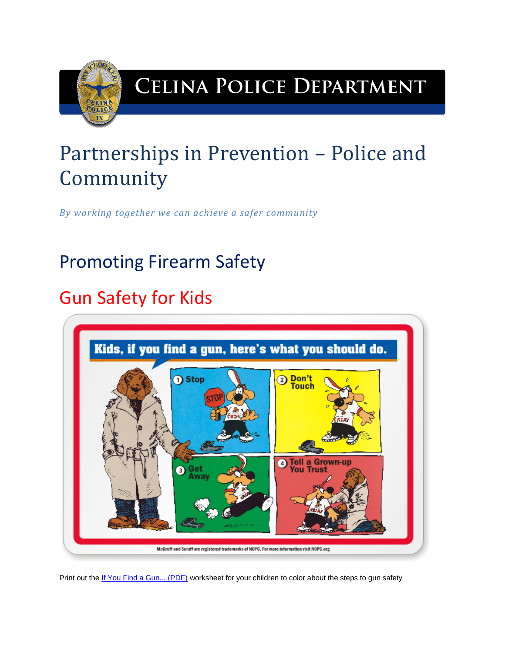

## **CELINA POLICE DEPARTMENT**

# Partnerships in Prevention – Police and Community

*By working together we can achieve a safer community*

## Promoting Firearm Safety

### Gun Safety for Kids



Print out the [If You Find a Gun... \(PDF\)](http://www.ncpc.org/topics/by-audience/law-enforcement/teaching-children/handouts/if-you-find-a-gun.pdf) worksheet for your children to color about the steps to gun safety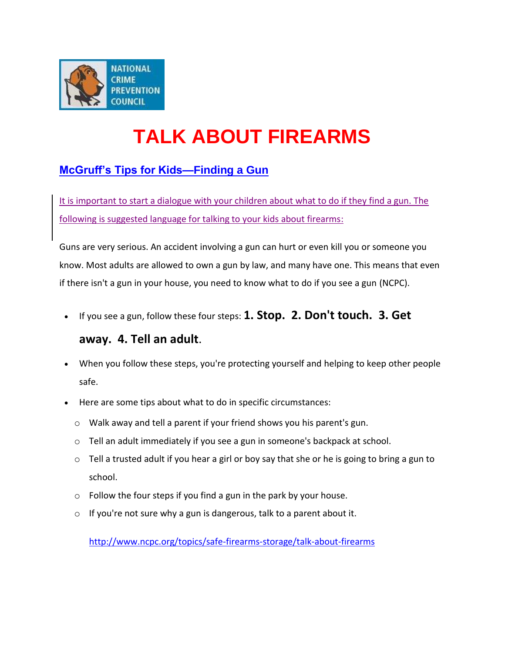

## **TALK ABOUT FIREARMS**

### **[McGruff's Tips for Kids—Finding a Gun](http://www.ncpc.org/topics/safe-firearms-storage/Mcgruff%20org%20guns.pdf)**

It is important to start a dialogue with your children about what to do if they find a gun. The following is suggested language for talking to your kids about firearms:

Guns are very serious. An accident involving a gun can hurt or even kill you or someone you know. Most adults are allowed to own a gun by law, and many have one. This means that even if there isn't a gun in your house, you need to know what to do if you see a gun (NCPC).

If you see a gun, follow these four steps: **1. Stop. 2. Don't touch. 3. Get** 

#### **away. 4. Tell an adult**.

- When you follow these steps, you're protecting yourself and helping to keep other people safe.
- Here are some tips about what to do in specific circumstances:
	- o Walk away and tell a parent if your friend shows you his parent's gun.
	- $\circ$  Tell an adult immediately if you see a gun in someone's backpack at school.
	- $\circ$  Tell a trusted adult if you hear a girl or boy say that she or he is going to bring a gun to school.
	- $\circ$  Follow the four steps if you find a gun in the park by your house.
	- o If you're not sure why a gun is dangerous, talk to a parent about it.

<http://www.ncpc.org/topics/safe-firearms-storage/talk-about-firearms>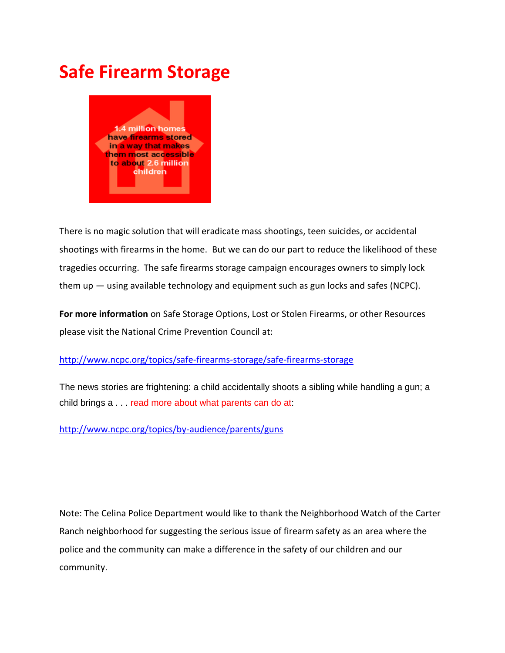### **Safe Firearm Storage**



There is no magic solution that will eradicate mass shootings, teen suicides, or accidental shootings with firearms in the home. But we can do our part to reduce the likelihood of these tragedies occurring. The safe firearms storage campaign encourages owners to simply lock them up — using available technology and equipment such as gun locks and safes (NCPC).

**For more information** on Safe Storage Options, Lost or Stolen Firearms, or other Resources please visit the National Crime Prevention Council at:

#### <http://www.ncpc.org/topics/safe-firearms-storage/safe-firearms-storage>

The news stories are frightening: a child accidentally shoots a sibling while handling a gun; a child brings a . . . read more about what parents can do at:

<http://www.ncpc.org/topics/by-audience/parents/guns>

Note: The Celina Police Department would like to thank the Neighborhood Watch of the Carter Ranch neighborhood for suggesting the serious issue of firearm safety as an area where the police and the community can make a difference in the safety of our children and our community.